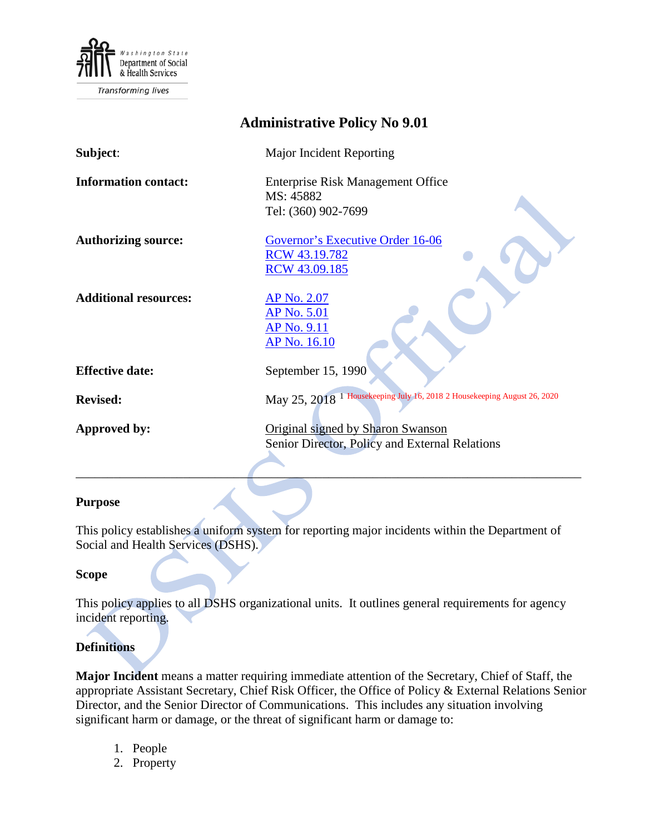

**Transforming lives** 

| <b>Administrative Policy No 9.01</b> |                                                                                     |  |  |
|--------------------------------------|-------------------------------------------------------------------------------------|--|--|
| Subject:                             | Major Incident Reporting                                                            |  |  |
| <b>Information contact:</b>          | <b>Enterprise Risk Management Office</b><br>MS: 45882<br>Tel: (360) 902-7699        |  |  |
| <b>Authorizing source:</b>           | Governor's Executive Order 16-06<br>RCW 43.19.782<br>RCW 43.09.185                  |  |  |
| <b>Additional resources:</b>         | <u>AP No. 2.07</u><br><u>AP No. 5.01</u><br>AP No. 9.11<br><b>AP No. 16.10</b>      |  |  |
| <b>Effective date:</b>               | September 15, 1990                                                                  |  |  |
| <b>Revised:</b>                      | May 25, 2018 <sup>1</sup> Housekeeping July 16, 2018 2 Housekeeping August 26, 2020 |  |  |
| Approved by:                         | Original signed by Sharon Swanson<br>Senior Director, Policy and External Relations |  |  |

#### **Purpose**

This policy establishes a uniform system for reporting major incidents within the Department of Social and Health Services (DSHS).

\_\_\_\_\_\_\_\_\_\_\_\_\_\_\_\_\_\_\_\_\_\_\_\_\_\_\_\_\_\_\_\_\_\_\_\_\_\_\_\_\_\_\_\_\_\_\_\_\_\_\_\_\_\_\_\_\_\_\_\_\_\_\_\_\_\_\_\_\_\_\_\_\_\_\_\_\_\_\_\_

#### **Scope**

This policy applies to all DSHS organizational units. It outlines general requirements for agency incident reporting.

### **Definitions**

**Major Incident** means a matter requiring immediate attention of the Secretary, Chief of Staff, the appropriate Assistant Secretary, Chief Risk Officer, the Office of Policy & External Relations Senior Director, and the Senior Director of Communications. This includes any situation involving significant harm or damage, or the threat of significant harm or damage to:

- 1. People
- 2. Property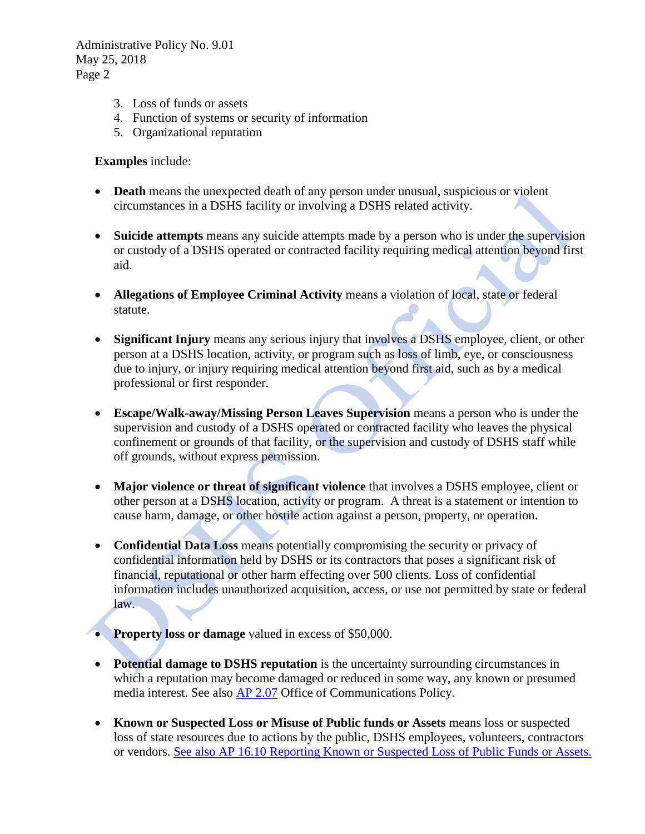Administrative Policy No. 9.01 May 25, 2018 Page 2

- 3. Loss of funds or assets
- 4. Function of systems or security of information
- 5. Organizational reputation

### **Examples** include:

- **Death** means the unexpected death of any person under unusual, suspicious or violent circumstances in a DSHS facility or involving a DSHS related activity.
- **Suicide attempts** means any suicide attempts made by a person who is under the supervision or custody of a DSHS operated or contracted facility requiring medical attention beyond first aid.
- **Allegations of Employee Criminal Activity** means a violation of local, state or federal statute.
- **Significant Injury** means any serious injury that involves a DSHS employee, client, or other person at a DSHS location, activity, or program such as loss of limb, eye, or consciousness due to injury, or injury requiring medical attention beyond first aid, such as by a medical professional or first responder.
- **Escape/Walk-away/Missing Person Leaves Supervision** means a person who is under the supervision and custody of a DSHS operated or contracted facility who leaves the physical confinement or grounds of that facility, or the supervision and custody of DSHS staff while off grounds, without express permission.
- **Major violence or threat of significant violence** that involves a DSHS employee, client or other person at a DSHS location, activity or program. A threat is a statement or intention to cause harm, damage, or other hostile action against a person, property, or operation.
- **Confidential Data Loss** means potentially compromising the security or privacy of confidential information held by DSHS or its contractors that poses a significant risk of financial, reputational or other harm effecting over 500 clients. Loss of confidential information includes unauthorized acquisition, access, or use not permitted by state or federal law.
- **Property loss or damage** valued in excess of \$50,000.
- **Potential damage to DSHS reputation** is the uncertainty surrounding circumstances in which a reputation may become damaged or reduced in some way, any known or presumed media interest. See also [AP 2.07](http://one.dshs.wa.lcl/Policies/Administrative/DSHS-AP-02-07.pdf) Office of Communications Policy.
- **Known or Suspected Loss or Misuse of Public funds or Assets** means loss or suspected loss of state resources due to actions by the public, DSHS employees, volunteers, contractors or vendors. [See also AP 16.10 Reporting Known or Suspected](http://one.dshs.wa.lcl/Policies/Administrative/DSHS-AP-16-10.pdf) Loss of Public Funds or Assets.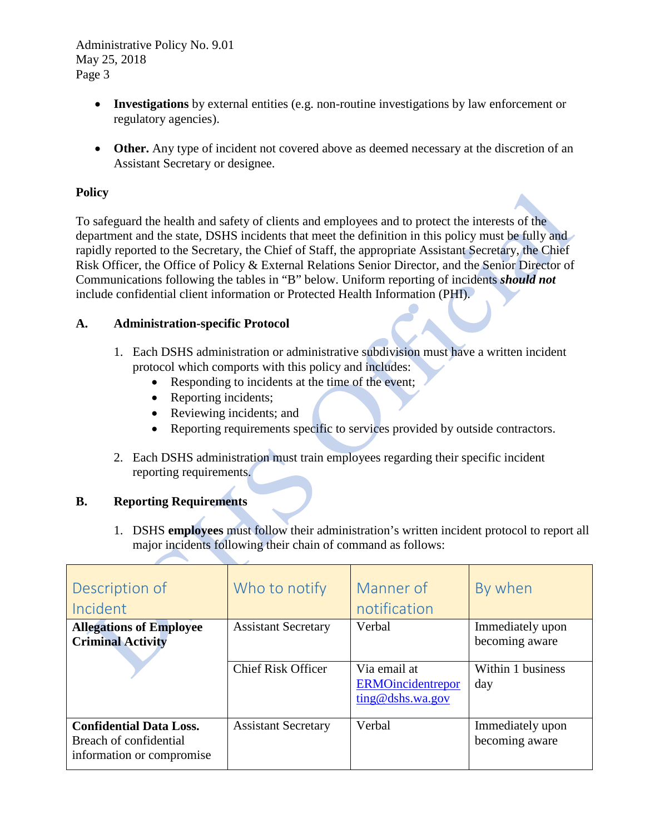Administrative Policy No. 9.01 May 25, 2018 Page 3

- **Investigations** by external entities (e.g. non-routine investigations by law enforcement or regulatory agencies).
- **Other.** Any type of incident not covered above as deemed necessary at the discretion of an Assistant Secretary or designee.

# **Policy**

To safeguard the health and safety of clients and employees and to protect the interests of the department and the state, DSHS incidents that meet the definition in this policy must be fully and rapidly reported to the Secretary, the Chief of Staff, the appropriate Assistant Secretary, the Chief Risk Officer, the Office of Policy & External Relations Senior Director, and the Senior Director of Communications following the tables in "B" below. Uniform reporting of incidents *should not*  include confidential client information or Protected Health Information (PHI).

## **A. Administration-specific Protocol**

- 1. Each DSHS administration or administrative subdivision must have a written incident protocol which comports with this policy and includes:
	- Responding to incidents at the time of the event;
	- Reporting incidents;
	- Reviewing incidents; and
	- Reporting requirements specific to services provided by outside contractors.
- 2. Each DSHS administration must train employees regarding their specific incident reporting requirements.

## **B. Reporting Requirements**

1. DSHS **employees** must follow their administration's written incident protocol to report all major incidents following their chain of command as follows:

| Description of<br>Incident                                                            | Who to notify              | Manner of<br>notification                                    | By when                            |
|---------------------------------------------------------------------------------------|----------------------------|--------------------------------------------------------------|------------------------------------|
| <b>Allegations of Employee</b><br><b>Criminal Activity</b>                            | <b>Assistant Secretary</b> | Verbal                                                       | Immediately upon<br>becoming aware |
|                                                                                       | <b>Chief Risk Officer</b>  | Via email at<br><b>ERMOincidentrepor</b><br>ting@dshs.wa.gov | Within 1 business<br>day           |
| <b>Confidential Data Loss.</b><br>Breach of confidential<br>information or compromise | <b>Assistant Secretary</b> | Verbal                                                       | Immediately upon<br>becoming aware |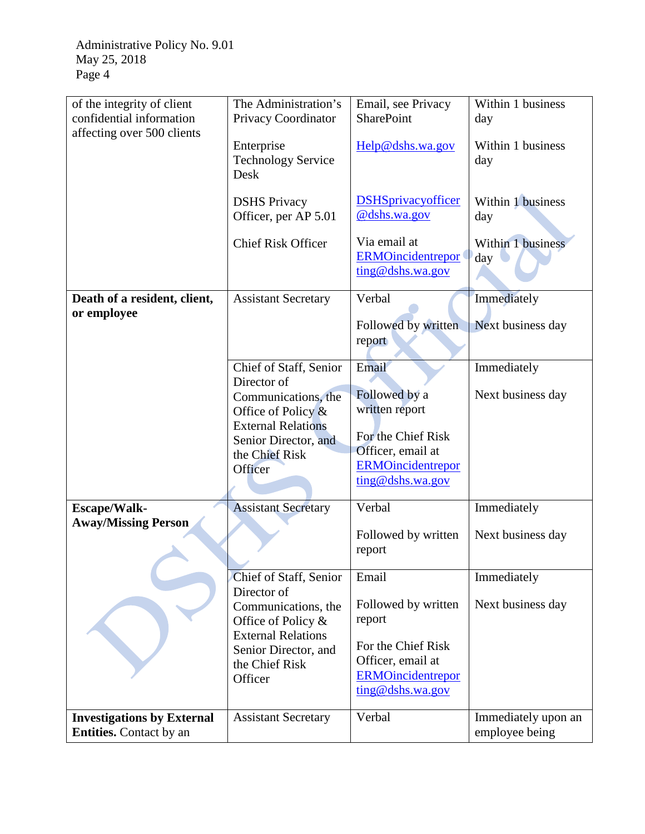| of the integrity of client<br>confidential information<br>affecting over 500 clients | The Administration's<br>Privacy Coordinator                                                                                                   | Email, see Privacy<br><b>SharePoint</b>                                                                                    | Within 1 business<br>day |
|--------------------------------------------------------------------------------------|-----------------------------------------------------------------------------------------------------------------------------------------------|----------------------------------------------------------------------------------------------------------------------------|--------------------------|
|                                                                                      | Enterprise<br><b>Technology Service</b><br>Desk                                                                                               | Help@dshs.wa.gov                                                                                                           | Within 1 business<br>day |
|                                                                                      | <b>DSHS</b> Privacy<br>Officer, per AP 5.01                                                                                                   | <b>DSHSprivacyofficer</b><br>@dshs.wa.gov                                                                                  | Within 1 business<br>day |
|                                                                                      | <b>Chief Risk Officer</b>                                                                                                                     | Via email at<br><b>ERMOincidentrepor</b><br>ting@dshs.wa.gov                                                               | Within 1 business<br>day |
| Death of a resident, client,                                                         | <b>Assistant Secretary</b>                                                                                                                    | Verbal                                                                                                                     | Immediately              |
| or employee                                                                          |                                                                                                                                               | Followed by written<br>report                                                                                              | Next business day        |
|                                                                                      | Chief of Staff, Senior                                                                                                                        | Email                                                                                                                      | Immediately              |
|                                                                                      | Director of<br>Communications, the<br>Office of Policy $\&$<br><b>External Relations</b><br>Senior Director, and<br>the Chief Risk<br>Officer | Followed by a<br>written report<br>For the Chief Risk<br>Officer, email at<br><b>ERMOincidentrepor</b><br>ting@dshs.wa.gov | Next business day        |
| Escape/Walk-                                                                         | <b>Assistant Secretary</b>                                                                                                                    | Verbal                                                                                                                     | Immediately              |
| <b>Away/Missing Person</b>                                                           |                                                                                                                                               | Followed by written<br>report                                                                                              | Next business day        |
|                                                                                      | Chief of Staff, Senior<br>Director of                                                                                                         | Email                                                                                                                      | Immediately              |
|                                                                                      | Communications, the<br>Office of Policy &<br><b>External Relations</b><br>Senior Director, and<br>the Chief Risk<br>Officer                   | Followed by written<br>report<br>For the Chief Risk<br>Officer, email at<br><b>ERMOincidentrepor</b><br>ting@dshs.wa.gov   | Next business day        |
| <b>Investigations by External</b>                                                    | <b>Assistant Secretary</b>                                                                                                                    | Verbal                                                                                                                     | Immediately upon an      |
| <b>Entities.</b> Contact by an                                                       |                                                                                                                                               |                                                                                                                            | employee being           |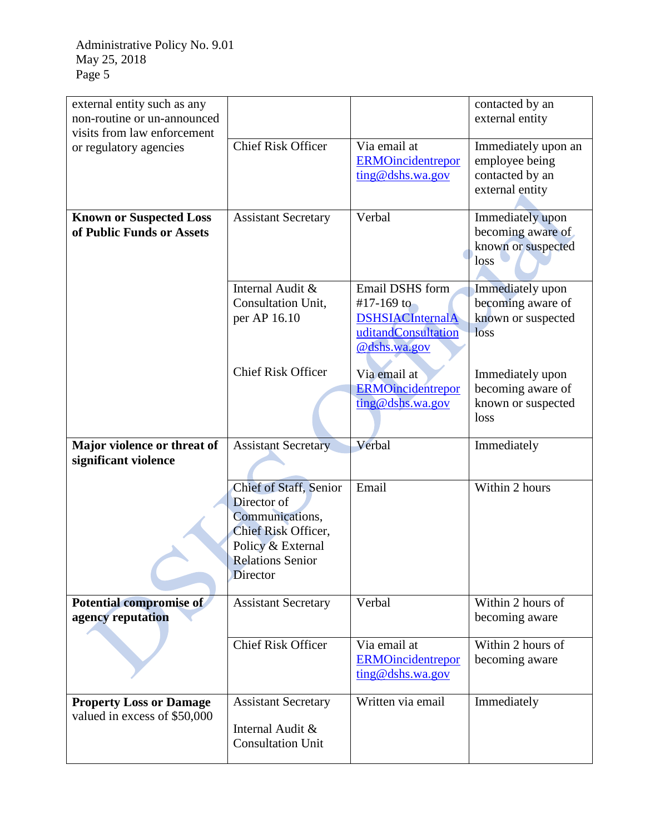| external entity such as any<br>non-routine or un-announced<br>visits from law enforcement |                                                                                                                                                           |                                                                                                 | contacted by an<br>external entity                                          |
|-------------------------------------------------------------------------------------------|-----------------------------------------------------------------------------------------------------------------------------------------------------------|-------------------------------------------------------------------------------------------------|-----------------------------------------------------------------------------|
| or regulatory agencies                                                                    | <b>Chief Risk Officer</b>                                                                                                                                 | Via email at<br><b>ERMOincidentrepor</b><br>ting@dshs.wa.gov                                    | Immediately upon an<br>employee being<br>contacted by an<br>external entity |
| <b>Known or Suspected Loss</b><br>of Public Funds or Assets                               | <b>Assistant Secretary</b>                                                                                                                                | Verbal                                                                                          | Immediately upon<br>becoming aware of<br>known or suspected<br>loss         |
|                                                                                           | Internal Audit &<br>Consultation Unit,<br>per AP 16.10                                                                                                    | Email DSHS form<br>#17-169 to<br><b>DSHSIACInternalA</b><br>uditandConsultation<br>@dshs.wa.gov | Immediately upon<br>becoming aware of<br>known or suspected<br>loss         |
|                                                                                           | <b>Chief Risk Officer</b>                                                                                                                                 | Via email at<br><b>ERMOincidentrepor</b><br>ting@dshs.wa.gov                                    | Immediately upon<br>becoming aware of<br>known or suspected<br>loss         |
| Major violence or threat of<br>significant violence                                       | <b>Assistant Secretary</b>                                                                                                                                | Verbal                                                                                          | Immediately                                                                 |
|                                                                                           | <b>Chief of Staff, Senior</b><br>Director of<br>Communications,<br>Chief Risk Officer,<br>Policy & External<br><b>Relations Senior</b><br><b>Director</b> | Email                                                                                           | Within 2 hours                                                              |
| Potential compromise of<br>agency reputation                                              | <b>Assistant Secretary</b>                                                                                                                                | Verbal                                                                                          | Within 2 hours of<br>becoming aware                                         |
|                                                                                           | <b>Chief Risk Officer</b>                                                                                                                                 | Via email at<br><b>ERMOincidentrepor</b><br>ting@dshs.wa.gov                                    | Within 2 hours of<br>becoming aware                                         |
| <b>Property Loss or Damage</b><br>valued in excess of \$50,000                            | <b>Assistant Secretary</b><br>Internal Audit &<br><b>Consultation Unit</b>                                                                                | Written via email                                                                               | Immediately                                                                 |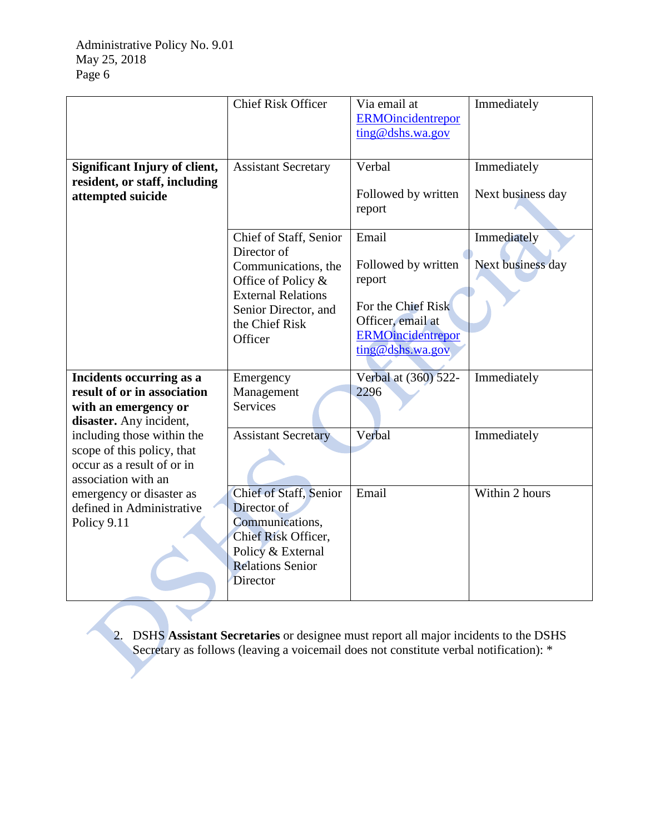|                                                                                                               | <b>Chief Risk Officer</b>                                                                                                                                            | Via email at<br><b>ERMOincidentrepor</b><br>ting@dshs.wa.gov                                                                      | Immediately                      |
|---------------------------------------------------------------------------------------------------------------|----------------------------------------------------------------------------------------------------------------------------------------------------------------------|-----------------------------------------------------------------------------------------------------------------------------------|----------------------------------|
| <b>Significant Injury of client,</b><br>resident, or staff, including<br>attempted suicide                    | <b>Assistant Secretary</b>                                                                                                                                           | Verbal<br>Followed by written<br>report                                                                                           | Immediately<br>Next business day |
|                                                                                                               | Chief of Staff, Senior<br>Director of<br>Communications, the<br>Office of Policy &<br><b>External Relations</b><br>Senior Director, and<br>the Chief Risk<br>Officer | Email<br>Followed by written<br>report<br>For the Chief Risk<br>Officer, email at<br><b>ERMOincidentrepor</b><br>ting@dshs.wa.gov | Immediately<br>Next business day |
| Incidents occurring as a<br>result of or in association<br>with an emergency or<br>disaster. Any incident,    | Emergency<br>Management<br><b>Services</b>                                                                                                                           | Verbal at (360) 522-<br>2296                                                                                                      | Immediately                      |
| including those within the<br>scope of this policy, that<br>occur as a result of or in<br>association with an | <b>Assistant Secretary</b>                                                                                                                                           | Verbal                                                                                                                            | Immediately                      |
| emergency or disaster as<br>defined in Administrative<br>Policy 9.11                                          | <b>Chief of Staff, Senior</b><br>Director of<br>Communications,<br>Chief Risk Officer,<br>Policy & External<br><b>Relations Senior</b><br>Director                   | Email                                                                                                                             | Within 2 hours                   |

2. DSHS **Assistant Secretaries** or designee must report all major incidents to the DSHS Secretary as follows (leaving a voicemail does not constitute verbal notification):  $*$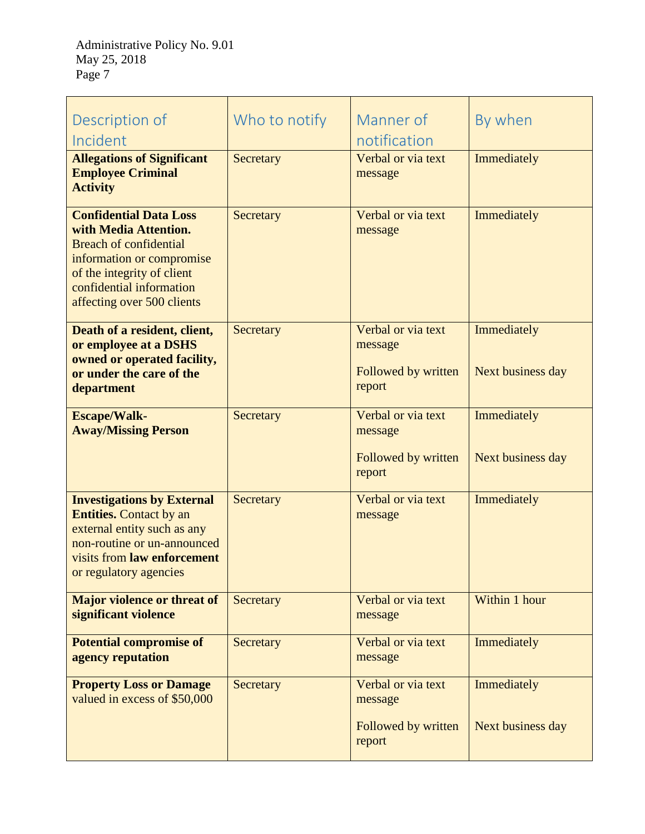| Description of<br>Incident                                                                                                                                                                                   | Who to notify | Manner of<br>notification                                      | By when                          |
|--------------------------------------------------------------------------------------------------------------------------------------------------------------------------------------------------------------|---------------|----------------------------------------------------------------|----------------------------------|
| <b>Allegations of Significant</b><br><b>Employee Criminal</b><br><b>Activity</b>                                                                                                                             | Secretary     | Verbal or via text<br>message                                  | Immediately                      |
| <b>Confidential Data Loss</b><br>with Media Attention.<br><b>Breach of confidential</b><br>information or compromise<br>of the integrity of client<br>confidential information<br>affecting over 500 clients | Secretary     | Verbal or via text<br>message                                  | Immediately                      |
| Death of a resident, client,<br>or employee at a DSHS<br>owned or operated facility,<br>or under the care of the<br>department                                                                               | Secretary     | Verbal or via text<br>message<br>Followed by written<br>report | Immediately<br>Next business day |
| <b>Escape/Walk-</b><br><b>Away/Missing Person</b>                                                                                                                                                            | Secretary     | Verbal or via text<br>message<br>Followed by written<br>report | Immediately<br>Next business day |
| <b>Investigations by External</b><br><b>Entities.</b> Contact by an<br>external entity such as any<br>non-routine or un-announced<br>visits from <b>law</b> enforcement<br>or regulatory agencies            | Secretary     | Verbal or via text<br>message                                  | Immediately                      |
| <b>Major violence or threat of</b><br>significant violence                                                                                                                                                   | Secretary     | Verbal or via text<br>message                                  | Within 1 hour                    |
| <b>Potential compromise of</b><br>agency reputation                                                                                                                                                          | Secretary     | Verbal or via text<br>message                                  | Immediately                      |
| <b>Property Loss or Damage</b><br>valued in excess of \$50,000                                                                                                                                               | Secretary     | Verbal or via text<br>message<br>Followed by written<br>report | Immediately<br>Next business day |